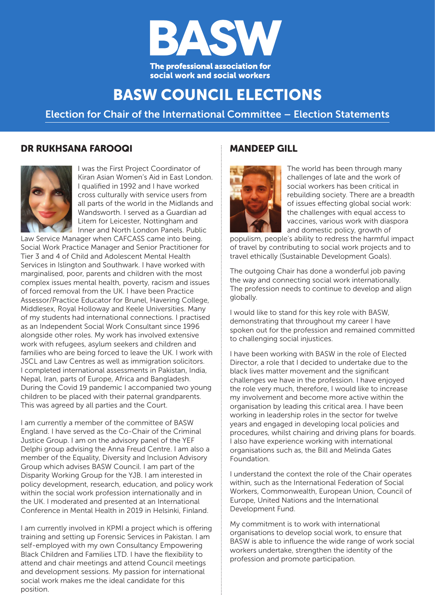

# **BASW COUNCIL ELECTIONS**

**Election for Chair of the International Committee – Election Statements**

### DR RUKHSANA FAROOQI MANDEEP GILL



I was the First Project Coordinator of Kiran Asian Women's Aid in East London. I qualified in 1992 and I have worked cross culturally with service users from all parts of the world in the Midlands and Wandsworth. I served as a Guardian ad Litem for Leicester, Nottingham and Inner and North London Panels. Public

Law Service Manager when CAFCASS came into being. Social Work Practice Manager and Senior Practitioner for Tier 3 and 4 of Child and Adolescent Mental Health Services in Islington and Southwark. I have worked with marginalised, poor, parents and children with the most complex issues mental health, poverty, racism and issues of forced removal from the UK. I have been Practice Assessor/Practice Educator for Brunel, Havering College, Middlesex, Royal Holloway and Keele Universities. Many of my students had international connections. I practised as an Independent Social Work Consultant since 1996 alongside other roles. My work has involved extensive work with refugees, asylum seekers and children and families who are being forced to leave the UK. I work with JSCL and Law Centres as well as immigration solicitors. I completed international assessments in Pakistan, India, Nepal, Iran, parts of Europe, Africa and Bangladesh. During the Covid 19 pandemic I accompanied two young children to be placed with their paternal grandparents. This was agreed by all parties and the Court.

I am currently a member of the committee of BASW England. I have served as the Co-Chair of the Criminal Justice Group. I am on the advisory panel of the YEF Delphi group advising the Anna Freud Centre. I am also a member of the Equality, Diversity and Inclusion Advisory Group which advises BASW Council. I am part of the Disparity Working Group for the YJB. I am interested in policy development, research, education, and policy work within the social work profession internationally and in the UK. I moderated and presented at an International Conference in Mental Health in 2019 in Helsinki, Finland.

I am currently involved in KPMI a project which is offering training and setting up Forensic Services in Pakistan. I am self-employed with my own Consultancy Empowering Black Children and Families LTD. I have the flexibility to attend and chair meetings and attend Council meetings and development sessions. My passion for international social work makes me the ideal candidate for this position.



The world has been through many challenges of late and the work of social workers has been critical in rebuilding society. There are a breadth of issues effecting global social work: the challenges with equal access to vaccines, various work with diaspora and domestic policy, growth of

populism, people's ability to redress the harmful impact of travel by contributing to social work projects and to travel ethically (Sustainable Development Goals).

The outgoing Chair has done a wonderful job paving the way and connecting social work internationally. The profession needs to continue to develop and align globally.

I would like to stand for this key role with BASW, demonstrating that throughout my career I have spoken out for the profession and remained committed to challenging social injustices.

I have been working with BASW in the role of Elected Director, a role that I decided to undertake due to the black lives matter movement and the significant challenges we have in the profession. I have enjoyed the role very much, therefore, I would like to increase my involvement and become more active within the organisation by leading this critical area. I have been working in leadership roles in the sector for twelve years and engaged in developing local policies and procedures, whilst chairing and driving plans for boards. I also have experience working with international organisations such as, the Bill and Melinda Gates Foundation.

I understand the context the role of the Chair operates within, such as the International Federation of Social Workers, Commonwealth, European Union, Council of Europe, United Nations and the International Development Fund.

My commitment is to work with international organisations to develop social work, to ensure that BASW is able to influence the wide range of work social workers undertake, strengthen the identity of the profession and promote participation.